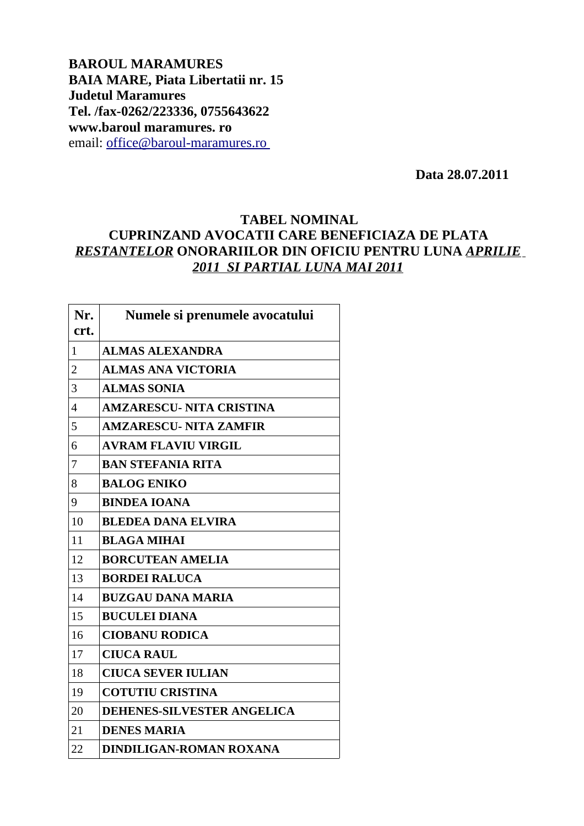**BAROUL MARAMURES BAIA MARE, Piata Libertatii nr. 15 Judetul Maramures Tel. /fax-0262/223336, 0755643622 www.baroul maramures. ro** email: [office@baroul-maramures.ro](mailto:office@baroul-maramures.ro)

 **Data 28.07.2011**

## **TABEL NOMINAL CUPRINZAND AVOCATII CARE BENEFICIAZA DE PLATA** *RESTANTELOR* **ONORARIILOR DIN OFICIU PENTRU LUNA** *APRILIE 2011 SI PARTIAL LUNA MAI 2011*

| Nr.<br>crt.              | Numele si prenumele avocatului    |
|--------------------------|-----------------------------------|
| 1                        | <b>ALMAS ALEXANDRA</b>            |
| $\overline{2}$           | <b>ALMAS ANA VICTORIA</b>         |
| 3                        | <b>ALMAS SONIA</b>                |
| $\overline{\mathcal{A}}$ | <b>AMZARESCU- NITA CRISTINA</b>   |
| 5                        | <b>AMZARESCU- NITA ZAMFIR</b>     |
| 6                        | <b>AVRAM FLAVIU VIRGIL</b>        |
| 7                        | <b>BAN STEFANIA RITA</b>          |
| 8                        | <b>BALOG ENIKO</b>                |
| 9                        | <b>BINDEA IOANA</b>               |
| 10                       | <b>BLEDEA DANA ELVIRA</b>         |
| 11                       | <b>BLAGA MIHAI</b>                |
| 12                       | <b>BORCUTEAN AMELIA</b>           |
| 13                       | <b>BORDEI RALUCA</b>              |
| 14                       | <b>BUZGAU DANA MARIA</b>          |
| 15                       | <b>BUCULEI DIANA</b>              |
| 16                       | <b>CIOBANU RODICA</b>             |
| 17                       | <b>CIUCA RAUL</b>                 |
| 18                       | <b>CIUCA SEVER IULIAN</b>         |
| 19                       | <b>COTUTIU CRISTINA</b>           |
| 20                       | <b>DEHENES-SILVESTER ANGELICA</b> |
| 21                       | <b>DENES MARIA</b>                |
| 22                       | <b>DINDILIGAN-ROMAN ROXANA</b>    |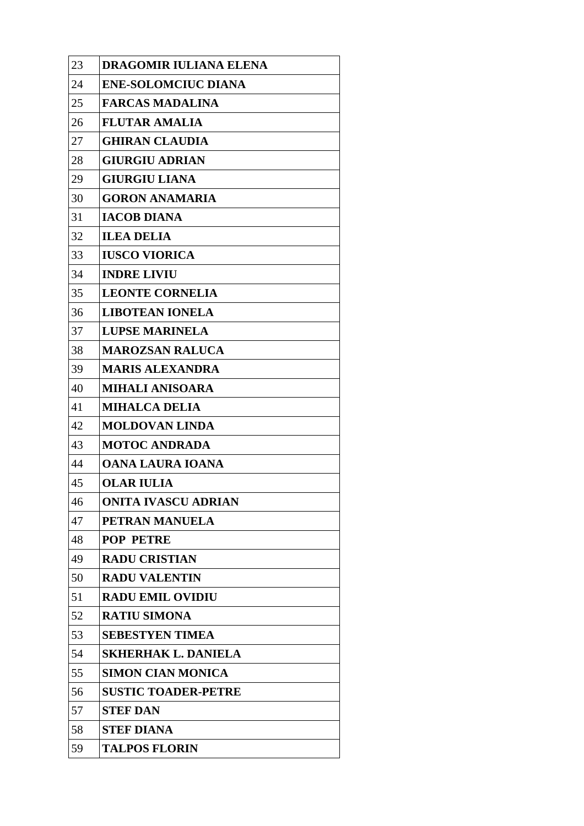| 23 | <b>DRAGOMIR IULIANA ELENA</b> |
|----|-------------------------------|
| 24 | <b>ENE-SOLOMCIUC DIANA</b>    |
| 25 | <b>FARCAS MADALINA</b>        |
| 26 | <b>FLUTAR AMALIA</b>          |
| 27 | <b>GHIRAN CLAUDIA</b>         |
| 28 | <b>GIURGIU ADRIAN</b>         |
| 29 | <b>GIURGIU LIANA</b>          |
| 30 | <b>GORON ANAMARIA</b>         |
| 31 | <b>IACOB DIANA</b>            |
| 32 | <b>ILEA DELIA</b>             |
| 33 | <b>IUSCO VIORICA</b>          |
| 34 | <b>INDRE LIVIU</b>            |
| 35 | <b>LEONTE CORNELIA</b>        |
| 36 | <b>LIBOTEAN IONELA</b>        |
| 37 | <b>LUPSE MARINELA</b>         |
| 38 | <b>MAROZSAN RALUCA</b>        |
| 39 | <b>MARIS ALEXANDRA</b>        |
| 40 | <b>MIHALI ANISOARA</b>        |
| 41 | <b>MIHALCA DELIA</b>          |
| 42 | <b>MOLDOVAN LINDA</b>         |
| 43 | <b>MOTOC ANDRADA</b>          |
| 44 | <b>OANA LAURA IOANA</b>       |
| 45 | <b>OLAR IULIA</b>             |
| 46 | <b>ONITA IVASCU ADRIAN</b>    |
| 47 | PETRAN MANUELA                |
| 48 | <b>POP PETRE</b>              |
| 49 | <b>RADU CRISTIAN</b>          |
| 50 | <b>RADU VALENTIN</b>          |
| 51 | <b>RADU EMIL OVIDIU</b>       |
| 52 | <b>RATIU SIMONA</b>           |
| 53 | <b>SEBESTYEN TIMEA</b>        |
| 54 | <b>SKHERHAK L. DANIELA</b>    |
| 55 | <b>SIMON CIAN MONICA</b>      |
| 56 | <b>SUSTIC TOADER-PETRE</b>    |
| 57 | <b>STEF DAN</b>               |
| 58 | <b>STEF DIANA</b>             |
| 59 | <b>TALPOS FLORIN</b>          |